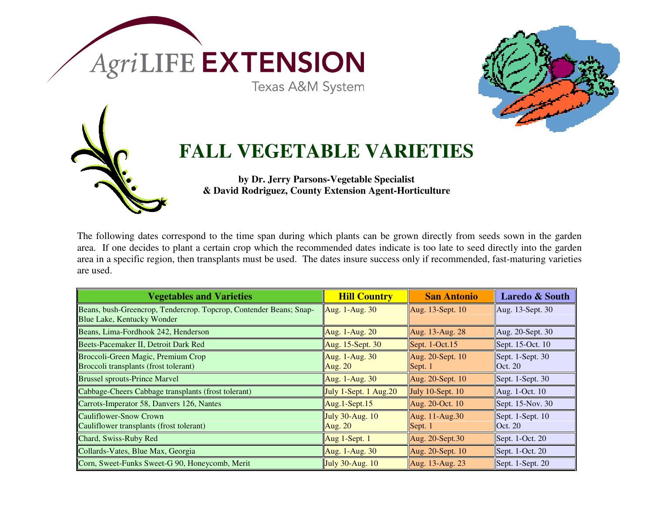

The following dates correspond to the time span during which plants can be grown directly from seeds sown in the garden area. If one decides to plant a certain crop which the recommended dates indicate is too late to seed directly into the garden area in a specific region, then transplants must be used. The dates insure success only if recommended, fast-maturing varieties are used.

| <b>Vegetables and Varieties</b>                                                                  | <b>Hill Country</b>               | <b>San Antonio</b>                                   | <b>Laredo &amp; South</b>                            |
|--------------------------------------------------------------------------------------------------|-----------------------------------|------------------------------------------------------|------------------------------------------------------|
| Beans, bush-Greencrop, Tendercrop. Topcrop, Contender Beans; Snap-<br>Blue Lake, Kentucky Wonder | Aug. $1-Aug. 30$                  | Aug. 13-Sept. 10                                     | $\vert$ Aug. 13-Sept. 30                             |
| Beans, Lima-Fordhook 242, Henderson                                                              | Aug. 1-Aug. $20$                  | Aug. 13-Aug. 28                                      | $\vert$ Aug. 20-Sept. 30                             |
| Beets-Pacemaker II, Detroit Dark Red                                                             | Aug. $15$ -Sept. 30               | Sept. $1$ -Oct. $15$                                 | Sept. $15$ -Oct. $10$                                |
| Broccoli-Green Magic, Premium Crop<br>Broccoli transplants (frost tolerant)                      | Aug. 1-Aug. 30<br><b>Aug. 20</b>  | Aug. 20-Sept. 10<br>$\left  \text{Sept. } 1 \right $ | $\left  \right $ Sept. 1-Sept. 30<br>$\vert$ Oct. 20 |
| <b>Brussel sprouts-Prince Marvel</b>                                                             | Aug. $1-Aug. 30$                  | Aug. $20$ -Sept. $10$                                | $\left  \right $ Sept. 1-Sept. 30                    |
| Cabbage-Cheers Cabbage transplants (frost tolerant)                                              | July 1-Sept. 1 Aug. $20$          | July 10-Sept. 10                                     | $\vert$ Aug. 1-Oct. 10                               |
| Carrots-Imperator 58, Danvers 126, Nantes                                                        | $\text{Aug.1-Sept.15}$            | Aug. 20-Oct. 10                                      | Sept. $15$ -Nov. 30                                  |
| Cauliflower-Snow Crown<br>Cauliflower transplants (frost tolerant)                               | July $30$ -Aug. $10$<br>Aug. $20$ | Aug. 11-Aug.30<br>Sept. 1                            | $\left  \right $ Sept. 1-Sept. 10<br>$\vert$ Oct. 20 |
| Chard, Swiss-Ruby Red                                                                            | $\vert$ Aug 1-Sept. 1             | Aug. 20-Sept.30                                      | Sept. $1$ -Oct. $20$                                 |
| Collards-Vates, Blue Max, Georgia                                                                | Aug. $1-Aug. 30$                  | Aug. 20-Sept. 10                                     | $\left  \right $ Sept. 1-Oct. 20                     |
| Corn, Sweet-Funks Sweet-G 90, Honeycomb, Merit                                                   | July $30$ -Aug. $10$              | Aug. 13-Aug. 23                                      | $\left  \right $ Sept. 1-Sept. 20                    |